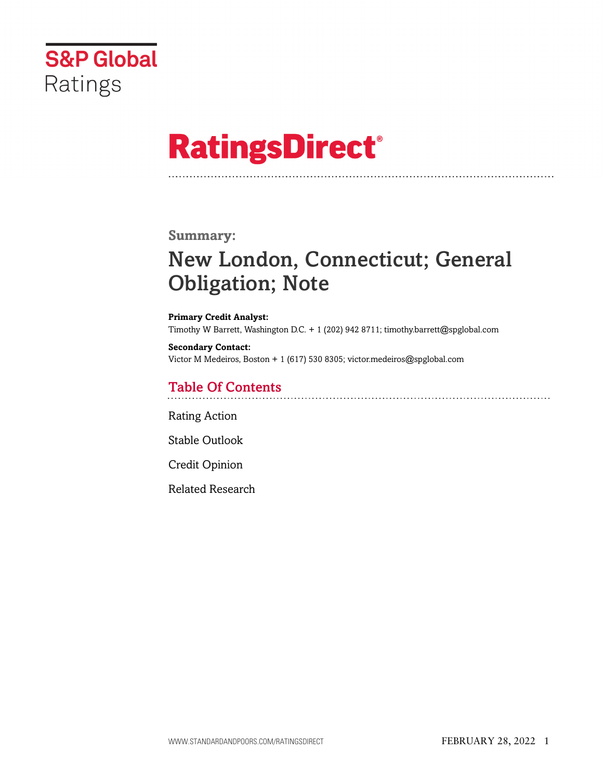

# **RatingsDirect®**

### **Summary:**

# New London, Connecticut; General Obligation; Note

**Primary Credit Analyst:** Timothy W Barrett, Washington D.C. + 1 (202) 942 8711; timothy.barrett@spglobal.com

**Secondary Contact:** Victor M Medeiros, Boston + 1 (617) 530 8305; victor.medeiros@spglobal.com

# Table Of Contents

[Rating Action](#page-1-0)

[Stable Outlook](#page-2-0)

[Credit Opinion](#page-3-0)

[Related Research](#page-6-0)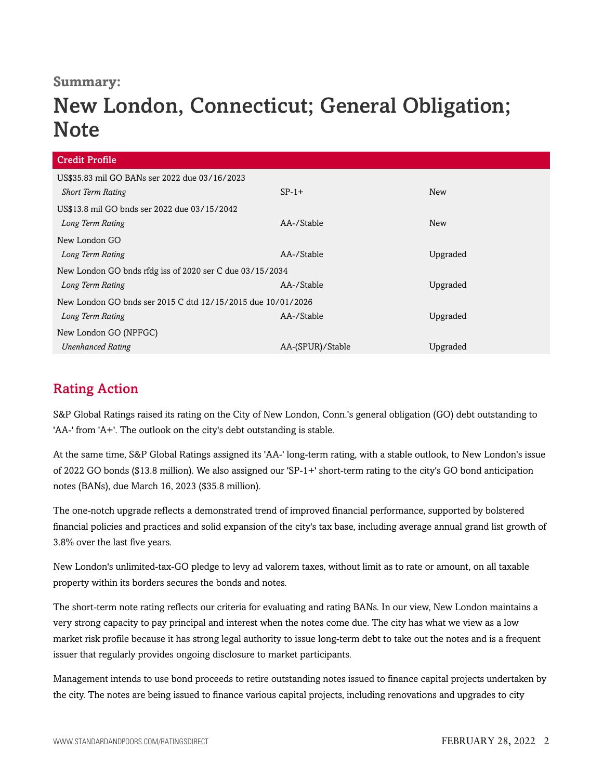## **Summary:**

# New London, Connecticut; General Obligation; **Note**

| <b>Credit Profile</b>                                       |                  |            |  |  |  |  |
|-------------------------------------------------------------|------------------|------------|--|--|--|--|
| US\$35.83 mil GO BANs ser 2022 due 03/16/2023               |                  |            |  |  |  |  |
| <b>Short Term Rating</b>                                    | $SP-1+$          | New        |  |  |  |  |
| US\$13.8 mil GO bnds ser 2022 due 03/15/2042                |                  |            |  |  |  |  |
| Long Term Rating                                            | AA-/Stable       | <b>New</b> |  |  |  |  |
| New London GO                                               |                  |            |  |  |  |  |
| Long Term Rating                                            | AA-/Stable       | Upgraded   |  |  |  |  |
| New London GO bnds rfdg iss of 2020 ser C due 03/15/2034    |                  |            |  |  |  |  |
| Long Term Rating                                            | AA-/Stable       | Upgraded   |  |  |  |  |
| New London GO bnds ser 2015 C dtd 12/15/2015 due 10/01/2026 |                  |            |  |  |  |  |
| Long Term Rating                                            | AA-/Stable       | Upgraded   |  |  |  |  |
| New London GO (NPFGC)                                       |                  |            |  |  |  |  |
| <b>Unenhanced Rating</b>                                    | AA-(SPUR)/Stable | Upgraded   |  |  |  |  |

# <span id="page-1-0"></span>Rating Action

S&P Global Ratings raised its rating on the City of New London, Conn.'s general obligation (GO) debt outstanding to 'AA-' from 'A+'. The outlook on the city's debt outstanding is stable.

At the same time, S&P Global Ratings assigned its 'AA-' long-term rating, with a stable outlook, to New London's issue of 2022 GO bonds (\$13.8 million). We also assigned our 'SP-1+' short-term rating to the city's GO bond anticipation notes (BANs), due March 16, 2023 (\$35.8 million).

The one-notch upgrade reflects a demonstrated trend of improved financial performance, supported by bolstered financial policies and practices and solid expansion of the city's tax base, including average annual grand list growth of 3.8% over the last five years.

New London's unlimited-tax-GO pledge to levy ad valorem taxes, without limit as to rate or amount, on all taxable property within its borders secures the bonds and notes.

The short-term note rating reflects our criteria for evaluating and rating BANs. In our view, New London maintains a very strong capacity to pay principal and interest when the notes come due. The city has what we view as a low market risk profile because it has strong legal authority to issue long-term debt to take out the notes and is a frequent issuer that regularly provides ongoing disclosure to market participants.

Management intends to use bond proceeds to retire outstanding notes issued to finance capital projects undertaken by the city. The notes are being issued to finance various capital projects, including renovations and upgrades to city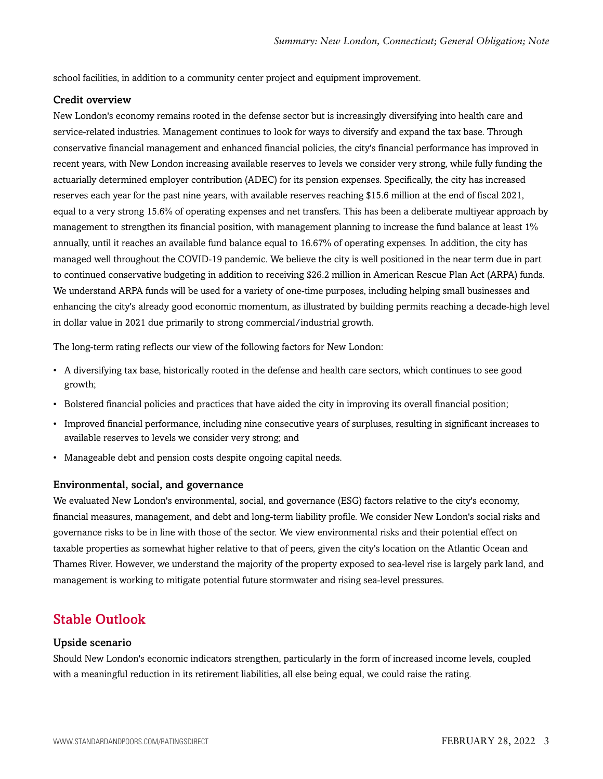school facilities, in addition to a community center project and equipment improvement.

#### Credit overview

New London's economy remains rooted in the defense sector but is increasingly diversifying into health care and service-related industries. Management continues to look for ways to diversify and expand the tax base. Through conservative financial management and enhanced financial policies, the city's financial performance has improved in recent years, with New London increasing available reserves to levels we consider very strong, while fully funding the actuarially determined employer contribution (ADEC) for its pension expenses. Specifically, the city has increased reserves each year for the past nine years, with available reserves reaching \$15.6 million at the end of fiscal 2021, equal to a very strong 15.6% of operating expenses and net transfers. This has been a deliberate multiyear approach by management to strengthen its financial position, with management planning to increase the fund balance at least 1% annually, until it reaches an available fund balance equal to 16.67% of operating expenses. In addition, the city has managed well throughout the COVID-19 pandemic. We believe the city is well positioned in the near term due in part to continued conservative budgeting in addition to receiving \$26.2 million in American Rescue Plan Act (ARPA) funds. We understand ARPA funds will be used for a variety of one-time purposes, including helping small businesses and enhancing the city's already good economic momentum, as illustrated by building permits reaching a decade-high level in dollar value in 2021 due primarily to strong commercial/industrial growth.

The long-term rating reflects our view of the following factors for New London:

- A diversifying tax base, historically rooted in the defense and health care sectors, which continues to see good growth;
- Bolstered financial policies and practices that have aided the city in improving its overall financial position;
- Improved financial performance, including nine consecutive years of surpluses, resulting in significant increases to available reserves to levels we consider very strong; and
- Manageable debt and pension costs despite ongoing capital needs.

#### Environmental, social, and governance

We evaluated New London's environmental, social, and governance (ESG) factors relative to the city's economy, financial measures, management, and debt and long-term liability profile. We consider New London's social risks and governance risks to be in line with those of the sector. We view environmental risks and their potential effect on taxable properties as somewhat higher relative to that of peers, given the city's location on the Atlantic Ocean and Thames River. However, we understand the majority of the property exposed to sea-level rise is largely park land, and management is working to mitigate potential future stormwater and rising sea-level pressures.

### <span id="page-2-0"></span>Stable Outlook

#### Upside scenario

Should New London's economic indicators strengthen, particularly in the form of increased income levels, coupled with a meaningful reduction in its retirement liabilities, all else being equal, we could raise the rating.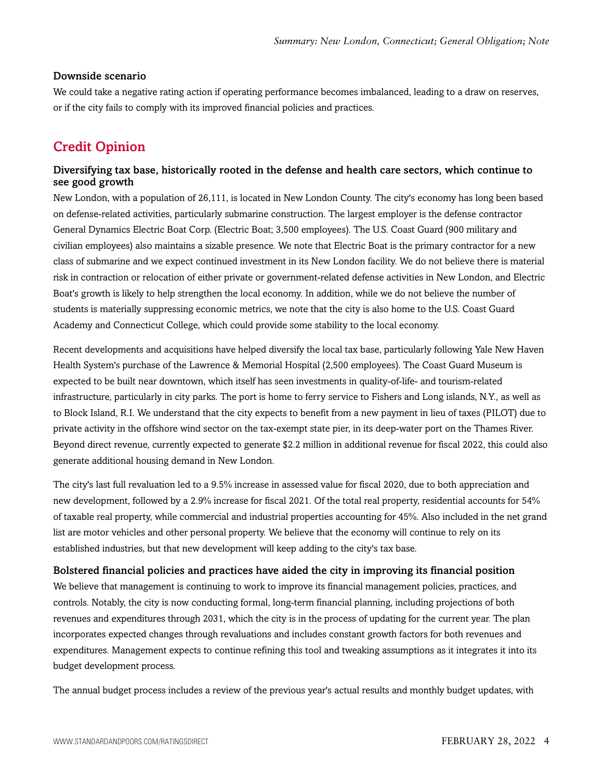#### Downside scenario

We could take a negative rating action if operating performance becomes imbalanced, leading to a draw on reserves, or if the city fails to comply with its improved financial policies and practices.

# <span id="page-3-0"></span>Credit Opinion

#### Diversifying tax base, historically rooted in the defense and health care sectors, which continue to see good growth

New London, with a population of 26,111, is located in New London County. The city's economy has long been based on defense-related activities, particularly submarine construction. The largest employer is the defense contractor General Dynamics Electric Boat Corp. (Electric Boat; 3,500 employees). The U.S. Coast Guard (900 military and civilian employees) also maintains a sizable presence. We note that Electric Boat is the primary contractor for a new class of submarine and we expect continued investment in its New London facility. We do not believe there is material risk in contraction or relocation of either private or government-related defense activities in New London, and Electric Boat's growth is likely to help strengthen the local economy. In addition, while we do not believe the number of students is materially suppressing economic metrics, we note that the city is also home to the U.S. Coast Guard Academy and Connecticut College, which could provide some stability to the local economy.

Recent developments and acquisitions have helped diversify the local tax base, particularly following Yale New Haven Health System's purchase of the Lawrence & Memorial Hospital (2,500 employees). The Coast Guard Museum is expected to be built near downtown, which itself has seen investments in quality-of-life- and tourism-related infrastructure, particularly in city parks. The port is home to ferry service to Fishers and Long islands, N.Y., as well as to Block Island, R.I. We understand that the city expects to benefit from a new payment in lieu of taxes (PILOT) due to private activity in the offshore wind sector on the tax-exempt state pier, in its deep-water port on the Thames River. Beyond direct revenue, currently expected to generate \$2.2 million in additional revenue for fiscal 2022, this could also generate additional housing demand in New London.

The city's last full revaluation led to a 9.5% increase in assessed value for fiscal 2020, due to both appreciation and new development, followed by a 2.9% increase for fiscal 2021. Of the total real property, residential accounts for 54% of taxable real property, while commercial and industrial properties accounting for 45%. Also included in the net grand list are motor vehicles and other personal property. We believe that the economy will continue to rely on its established industries, but that new development will keep adding to the city's tax base.

#### Bolstered financial policies and practices have aided the city in improving its financial position

We believe that management is continuing to work to improve its financial management policies, practices, and controls. Notably, the city is now conducting formal, long-term financial planning, including projections of both revenues and expenditures through 2031, which the city is in the process of updating for the current year. The plan incorporates expected changes through revaluations and includes constant growth factors for both revenues and expenditures. Management expects to continue refining this tool and tweaking assumptions as it integrates it into its budget development process.

The annual budget process includes a review of the previous year's actual results and monthly budget updates, with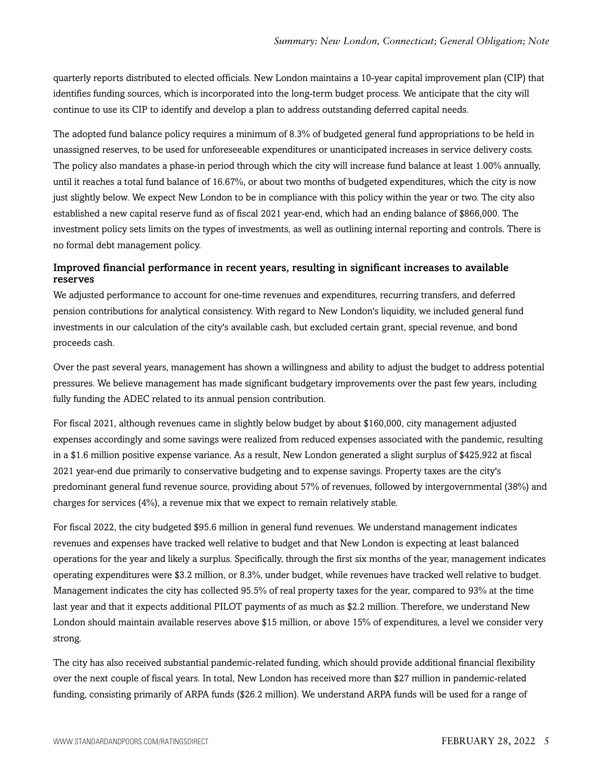quarterly reports distributed to elected officials. New London maintains a 10-year capital improvement plan (CIP) that identifies funding sources, which is incorporated into the long-term budget process. We anticipate that the city will continue to use its CIP to identify and develop a plan to address outstanding deferred capital needs.

The adopted fund balance policy requires a minimum of 8.3% of budgeted general fund appropriations to be held in unassigned reserves, to be used for unforeseeable expenditures or unanticipated increases in service delivery costs. The policy also mandates a phase-in period through which the city will increase fund balance at least 1.00% annually, until it reaches a total fund balance of 16.67%, or about two months of budgeted expenditures, which the city is now just slightly below. We expect New London to be in compliance with this policy within the year or two. The city also established a new capital reserve fund as of fiscal 2021 year-end, which had an ending balance of \$866,000. The investment policy sets limits on the types of investments, as well as outlining internal reporting and controls. There is no formal debt management policy.

#### Improved financial performance in recent years, resulting in significant increases to available reserves

We adjusted performance to account for one-time revenues and expenditures, recurring transfers, and deferred pension contributions for analytical consistency. With regard to New London's liquidity, we included general fund investments in our calculation of the city's available cash, but excluded certain grant, special revenue, and bond proceeds cash.

Over the past several years, management has shown a willingness and ability to adjust the budget to address potential pressures. We believe management has made significant budgetary improvements over the past few years, including fully funding the ADEC related to its annual pension contribution.

For fiscal 2021, although revenues came in slightly below budget by about \$160,000, city management adjusted expenses accordingly and some savings were realized from reduced expenses associated with the pandemic, resulting in a \$1.6 million positive expense variance. As a result, New London generated a slight surplus of \$425,922 at fiscal 2021 year-end due primarily to conservative budgeting and to expense savings. Property taxes are the city's predominant general fund revenue source, providing about 57% of revenues, followed by intergovernmental (38%) and charges for services (4%), a revenue mix that we expect to remain relatively stable.

For fiscal 2022, the city budgeted \$95.6 million in general fund revenues. We understand management indicates revenues and expenses have tracked well relative to budget and that New London is expecting at least balanced operations for the year and likely a surplus. Specifically, through the first six months of the year, management indicates operating expenditures were \$3.2 million, or 8.3%, under budget, while revenues have tracked well relative to budget. Management indicates the city has collected 95.5% of real property taxes for the year, compared to 93% at the time last year and that it expects additional PILOT payments of as much as \$2.2 million. Therefore, we understand New London should maintain available reserves above \$15 million, or above 15% of expenditures, a level we consider very strong.

The city has also received substantial pandemic-related funding, which should provide additional financial flexibility over the next couple of fiscal years. In total, New London has received more than \$27 million in pandemic-related funding, consisting primarily of ARPA funds (\$26.2 million). We understand ARPA funds will be used for a range of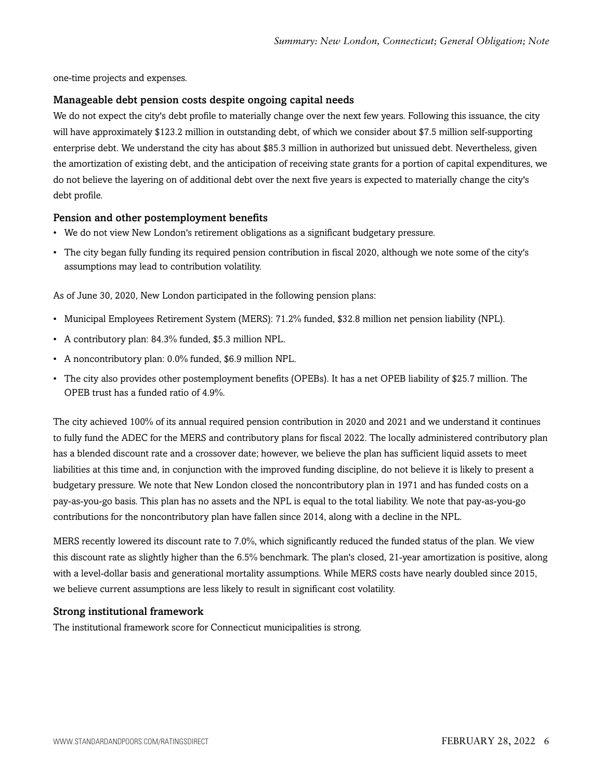one-time projects and expenses.

#### Manageable debt pension costs despite ongoing capital needs

We do not expect the city's debt profile to materially change over the next few years. Following this issuance, the city will have approximately \$123.2 million in outstanding debt, of which we consider about \$7.5 million self-supporting enterprise debt. We understand the city has about \$85.3 million in authorized but unissued debt. Nevertheless, given the amortization of existing debt, and the anticipation of receiving state grants for a portion of capital expenditures, we do not believe the layering on of additional debt over the next five years is expected to materially change the city's debt profile.

#### Pension and other postemployment benefits

- We do not view New London's retirement obligations as a significant budgetary pressure.
- The city began fully funding its required pension contribution in fiscal 2020, although we note some of the city's assumptions may lead to contribution volatility.

As of June 30, 2020, New London participated in the following pension plans:

- Municipal Employees Retirement System (MERS): 71.2% funded, \$32.8 million net pension liability (NPL).
- A contributory plan: 84.3% funded, \$5.3 million NPL.
- A noncontributory plan: 0.0% funded, \$6.9 million NPL.
- The city also provides other postemployment benefits (OPEBs). It has a net OPEB liability of \$25.7 million. The OPEB trust has a funded ratio of 4.9%.

The city achieved 100% of its annual required pension contribution in 2020 and 2021 and we understand it continues to fully fund the ADEC for the MERS and contributory plans for fiscal 2022. The locally administered contributory plan has a blended discount rate and a crossover date; however, we believe the plan has sufficient liquid assets to meet liabilities at this time and, in conjunction with the improved funding discipline, do not believe it is likely to present a budgetary pressure. We note that New London closed the noncontributory plan in 1971 and has funded costs on a pay-as-you-go basis. This plan has no assets and the NPL is equal to the total liability. We note that pay-as-you-go contributions for the noncontributory plan have fallen since 2014, along with a decline in the NPL.

MERS recently lowered its discount rate to 7.0%, which significantly reduced the funded status of the plan. We view this discount rate as slightly higher than the 6.5% benchmark. The plan's closed, 21-year amortization is positive, along with a level-dollar basis and generational mortality assumptions. While MERS costs have nearly doubled since 2015, we believe current assumptions are less likely to result in significant cost volatility.

#### Strong institutional framework

The institutional framework score for Connecticut municipalities is strong.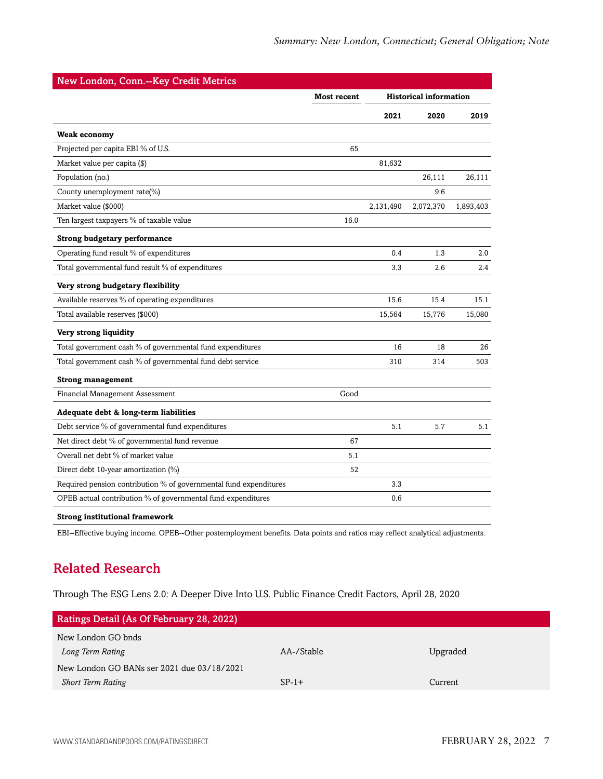| New London, Conn.--Key Credit Metrics                             |             |           |                               |           |
|-------------------------------------------------------------------|-------------|-----------|-------------------------------|-----------|
|                                                                   | Most recent |           | <b>Historical information</b> |           |
|                                                                   |             | 2021      | 2020                          | 2019      |
| <b>Weak economy</b>                                               |             |           |                               |           |
| Projected per capita EBI % of U.S.                                | 65          |           |                               |           |
| Market value per capita (\$)                                      |             | 81,632    |                               |           |
| Population (no.)                                                  |             |           | 26.111                        | 26,111    |
| County unemployment rate(%)                                       |             |           | 9.6                           |           |
| Market value (\$000)                                              |             | 2,131,490 | 2,072,370                     | 1,893,403 |
| Ten largest taxpayers % of taxable value                          | 16.0        |           |                               |           |
| <b>Strong budgetary performance</b>                               |             |           |                               |           |
| Operating fund result % of expenditures                           |             | 0.4       | 1.3                           | 2.0       |
| Total governmental fund result % of expenditures                  |             | 3.3       | 2.6                           | 2.4       |
| Very strong budgetary flexibility                                 |             |           |                               |           |
| Available reserves % of operating expenditures                    |             | 15.6      | 15.4                          | 15.1      |
| Total available reserves (\$000)                                  |             | 15,564    | 15,776                        | 15,080    |
| Very strong liquidity                                             |             |           |                               |           |
| Total government cash % of governmental fund expenditures         |             | 16        | 18                            | 26        |
| Total government cash % of governmental fund debt service         |             | 310       | 314                           | 503       |
| <b>Strong management</b>                                          |             |           |                               |           |
| Financial Management Assessment                                   | Good        |           |                               |           |
| Adequate debt & long-term liabilities                             |             |           |                               |           |
| Debt service % of governmental fund expenditures                  |             | 5.1       | 5.7                           | 5.1       |
| Net direct debt % of governmental fund revenue                    | 67          |           |                               |           |
| Overall net debt % of market value                                | 5.1         |           |                               |           |
| Direct debt 10-year amortization (%)                              | 52          |           |                               |           |
| Required pension contribution % of governmental fund expenditures |             | 3.3       |                               |           |
| OPEB actual contribution % of governmental fund expenditures      |             | 0.6       |                               |           |

#### **Strong institutional framework**

<span id="page-6-0"></span>EBI--Effective buying income. OPEB--Other postemployment benefits. Data points and ratios may reflect analytical adjustments.

# Related Research

Through The ESG Lens 2.0: A Deeper Dive Into U.S. Public Finance Credit Factors, April 28, 2020

| <b>Ratings Detail (As Of February 28, 2022)</b> |            |          |  |  |  |
|-------------------------------------------------|------------|----------|--|--|--|
| New London GO bnds                              |            |          |  |  |  |
| Long Term Rating                                | AA-/Stable | Upgraded |  |  |  |
| New London GO BANs ser 2021 due 03/18/2021      |            |          |  |  |  |
| <b>Short Term Rating</b>                        | $SP-1+$    | Current  |  |  |  |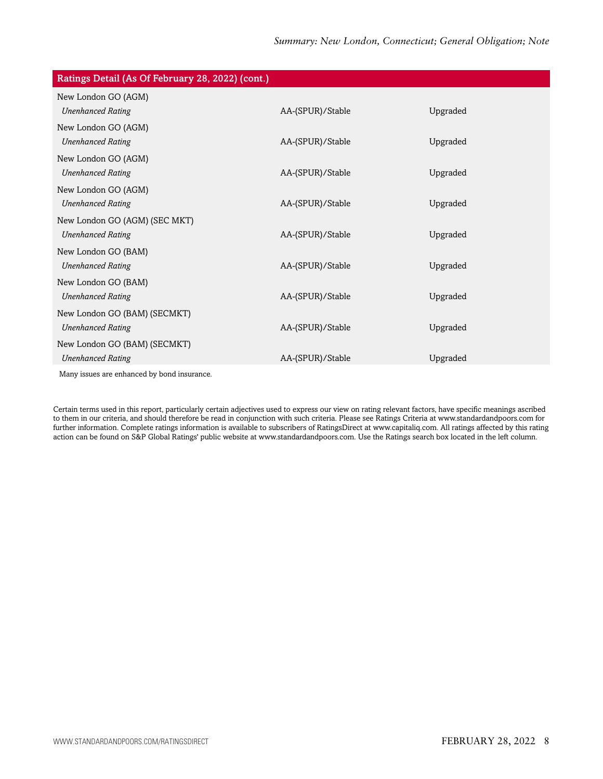| Ratings Detail (As Of February 28, 2022) (cont.) |                  |          |
|--------------------------------------------------|------------------|----------|
| New London GO (AGM)                              |                  |          |
| <b>Unenhanced Rating</b>                         | AA-(SPUR)/Stable | Upgraded |
| New London GO (AGM)                              |                  |          |
| <b>Unenhanced Rating</b>                         | AA-(SPUR)/Stable | Upgraded |
| New London GO (AGM)                              |                  |          |
| <b>Unenhanced Rating</b>                         | AA-(SPUR)/Stable | Upgraded |
| New London GO (AGM)                              |                  |          |
| <b>Unenhanced Rating</b>                         | AA-(SPUR)/Stable | Upgraded |
| New London GO (AGM) (SEC MKT)                    |                  |          |
| <b>Unenhanced Rating</b>                         | AA-(SPUR)/Stable | Upgraded |
| New London GO (BAM)                              |                  |          |
| <b>Unenhanced Rating</b>                         | AA-(SPUR)/Stable | Upgraded |
| New London GO (BAM)                              |                  |          |
| <b>Unenhanced Rating</b>                         | AA-(SPUR)/Stable | Upgraded |
| New London GO (BAM) (SECMKT)                     |                  |          |
| <b>Unenhanced Rating</b>                         | AA-(SPUR)/Stable | Upgraded |
| New London GO (BAM) (SECMKT)                     |                  |          |
| <b>Unenhanced Rating</b>                         | AA-(SPUR)/Stable | Upgraded |
| Many issues are enhanced by bond insurance.      |                  |          |

Certain terms used in this report, particularly certain adjectives used to express our view on rating relevant factors, have specific meanings ascribed to them in our criteria, and should therefore be read in conjunction with such criteria. Please see Ratings Criteria at www.standardandpoors.com for further information. Complete ratings information is available to subscribers of RatingsDirect at www.capitaliq.com. All ratings affected by this rating action can be found on S&P Global Ratings' public website at www.standardandpoors.com. Use the Ratings search box located in the left column.